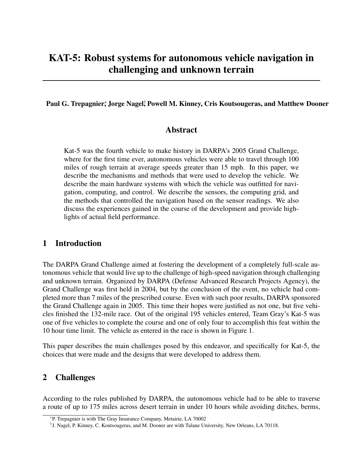# KAT-5: Robust systems for autonomous vehicle navigation in challenging and unknown terrain

#### Paul G. Trepagnier;ٌ Jorge Nagel; Powell M. Kinney, Cris Koutsougeras, and Matthew Dooner

## **Abstract**

Kat-5 was the fourth vehicle to make history in DARPA's 2005 Grand Challenge, where for the first time ever, autonomous vehicles were able to travel through 100 miles of rough terrain at average speeds greater than 15 mph. In this paper, we describe the mechanisms and methods that were used to develop the vehicle. We describe the main hardware systems with which the vehicle was outfitted for navigation, computing, and control. We describe the sensors, the computing grid, and the methods that controlled the navigation based on the sensor readings. We also discuss the experiences gained in the course of the development and provide highlights of actual field performance.

## 1 Introduction

The DARPA Grand Challenge aimed at fostering the development of a completely full-scale autonomous vehicle that would live up to the challenge of high-speed navigation through challenging and unknown terrain. Organized by DARPA (Defense Advanced Research Projects Agency), the Grand Challenge was first held in 2004, but by the conclusion of the event, no vehicle had completed more than 7 miles of the prescribed course. Even with such poor results, DARPA sponsored the Grand Challenge again in 2005. This time their hopes were justified as not one, but five vehicles finished the 132-mile race. Out of the original 195 vehicles entered, Team Gray's Kat-5 was one of five vehicles to complete the course and one of only four to accomplish this feat within the 10 hour time limit. The vehicle as entered in the race is shown in Figure 1.

This paper describes the main challenges posed by this endeavor, and specifically for Kat-5, the choices that were made and the designs that were developed to address them.

## 2 Challenges

According to the rules published by DARPA, the autonomous vehicle had to be able to traverse a route of up to 175 miles across desert terrain in under 10 hours while avoiding ditches, berms,

<sup>∗</sup> P. Trepagnier is with The Gray Insurance Company, Metairie, LA 70002

<sup>†</sup> J. Nagel, P. Kinney, C. Koutsougeras, and M. Dooner are with Tulane University, New Orleans, LA 70118.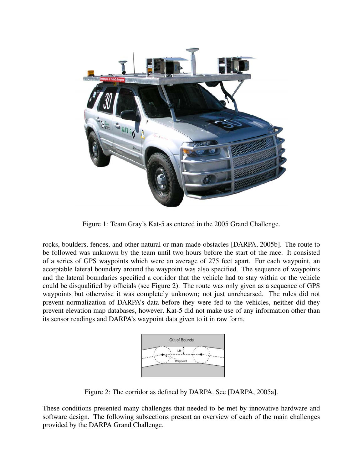

Figure 1: Team Gray's Kat-5 as entered in the 2005 Grand Challenge.

rocks, boulders, fences, and other natural or man-made obstacles [DARPA, 2005b]. The route to be followed was unknown by the team until two hours before the start of the race. It consisted of a series of GPS waypoints which were an average of 275 feet apart. For each waypoint, an acceptable lateral boundary around the waypoint was also specified. The sequence of waypoints and the lateral boundaries specified a corridor that the vehicle had to stay within or the vehicle could be disqualified by officials (see Figure 2). The route was only given as a sequence of GPS waypoints but otherwise it was completely unknown; not just unrehearsed. The rules did not prevent normalization of DARPA's data before they were fed to the vehicles, neither did they prevent elevation map databases, however, Kat-5 did not make use of any information other than its sensor readings and DARPA's waypoint data given to it in raw form.



Figure 2: The corridor as defined by DARPA. See [DARPA, 2005a].

These conditions presented many challenges that needed to be met by innovative hardware and software design. The following subsections present an overview of each of the main challenges provided by the DARPA Grand Challenge.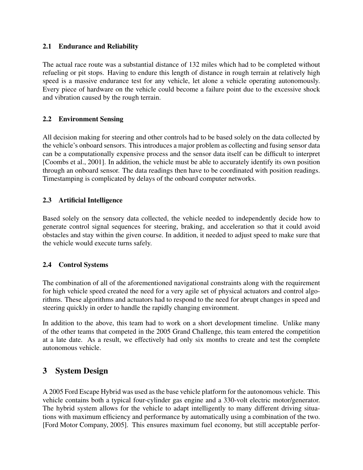#### 2.1 Endurance and Reliability

The actual race route was a substantial distance of 132 miles which had to be completed without refueling or pit stops. Having to endure this length of distance in rough terrain at relatively high speed is a massive endurance test for any vehicle, let alone a vehicle operating autonomously. Every piece of hardware on the vehicle could become a failure point due to the excessive shock and vibration caused by the rough terrain.

## 2.2 Environment Sensing

All decision making for steering and other controls had to be based solely on the data collected by the vehicle's onboard sensors. This introduces a major problem as collecting and fusing sensor data can be a computationally expensive process and the sensor data itself can be difficult to interpret [Coombs et al., 2001]. In addition, the vehicle must be able to accurately identify its own position through an onboard sensor. The data readings then have to be coordinated with position readings. Timestamping is complicated by delays of the onboard computer networks.

## 2.3 Artificial Intelligence

Based solely on the sensory data collected, the vehicle needed to independently decide how to generate control signal sequences for steering, braking, and acceleration so that it could avoid obstacles and stay within the given course. In addition, it needed to adjust speed to make sure that the vehicle would execute turns safely.

## 2.4 Control Systems

The combination of all of the aforementioned navigational constraints along with the requirement for high vehicle speed created the need for a very agile set of physical actuators and control algorithms. These algorithms and actuators had to respond to the need for abrupt changes in speed and steering quickly in order to handle the rapidly changing environment.

In addition to the above, this team had to work on a short development timeline. Unlike many of the other teams that competed in the 2005 Grand Challenge, this team entered the competition at a late date. As a result, we effectively had only six months to create and test the complete autonomous vehicle.

# 3 System Design

A 2005 Ford Escape Hybrid was used as the base vehicle platform for the autonomous vehicle. This vehicle contains both a typical four-cylinder gas engine and a 330-volt electric motor/generator. The hybrid system allows for the vehicle to adapt intelligently to many different driving situations with maximum efficiency and performance by automatically using a combination of the two. [Ford Motor Company, 2005]. This ensures maximum fuel economy, but still acceptable perfor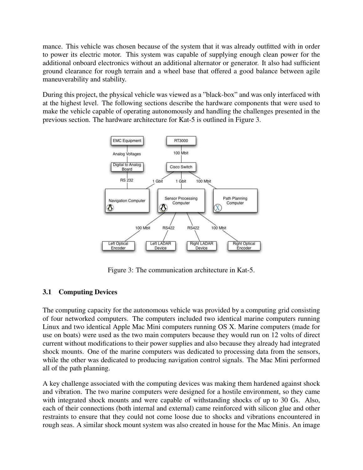mance. This vehicle was chosen because of the system that it was already outfitted with in order to power its electric motor. This system was capable of supplying enough clean power for the additional onboard electronics without an additional alternator or generator. It also had sufficient ground clearance for rough terrain and a wheel base that offered a good balance between agile maneuverability and stability.

During this project, the physical vehicle was viewed as a "black-box" and was only interfaced with at the highest level. The following sections describe the hardware components that were used to make the vehicle capable of operating autonomously and handling the challenges presented in the previous section. The hardware architecture for Kat-5 is outlined in Figure 3.



Figure 3: The communication architecture in Kat-5.

## 3.1 Computing Devices

The computing capacity for the autonomous vehicle was provided by a computing grid consisting of four networked computers. The computers included two identical marine computers running Linux and two identical Apple Mac Mini computers running OS X. Marine computers (made for use on boats) were used as the two main computers because they would run on 12 volts of direct current without modifications to their power supplies and also because they already had integrated shock mounts. One of the marine computers was dedicated to processing data from the sensors, while the other was dedicated to producing navigation control signals. The Mac Mini performed all of the path planning.

A key challenge associated with the computing devices was making them hardened against shock and vibration. The two marine computers were designed for a hostile environment, so they came with integrated shock mounts and were capable of withstanding shocks of up to 30 Gs. Also, each of their connections (both internal and external) came reinforced with silicon glue and other restraints to ensure that they could not come loose due to shocks and vibrations encountered in rough seas. A similar shock mount system was also created in house for the Mac Minis. An image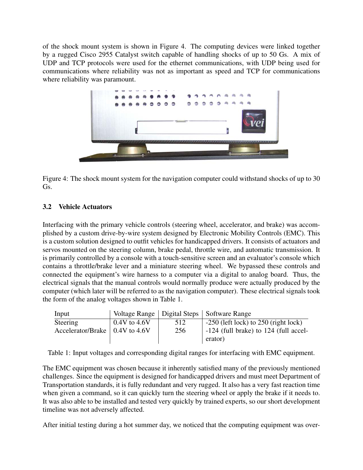of the shock mount system is shown in Figure 4. The computing devices were linked together by a rugged Cisco 2955 Catalyst switch capable of handling shocks of up to 50 Gs. A mix of UDP and TCP protocols were used for the ethernet communications, with UDP being used for communications where reliability was not as important as speed and TCP for communications where reliability was paramount.



Figure 4: The shock mount system for the navigation computer could withstand shocks of up to 30 Gs.

## 3.2 Vehicle Actuators

Interfacing with the primary vehicle controls (steering wheel, accelerator, and brake) was accomplished by a custom drive-by-wire system designed by Electronic Mobility Controls (EMC). This is a custom solution designed to outfit vehicles for handicapped drivers. It consists of actuators and servos mounted on the steering column, brake pedal, throttle wire, and automatic transmission. It is primarily controlled by a console with a touch-sensitive screen and an evaluator's console which contains a throttle/brake lever and a miniature steering wheel. We bypassed these controls and connected the equipment's wire harness to a computer via a digital to analog board. Thus, the electrical signals that the manual controls would normally produce were actually produced by the computer (which later will be referred to as the navigation computer). These electrical signals took the form of the analog voltages shown in Table 1.

| Input                                  |                    |     | Voltage Range   Digital Steps   Software Range |
|----------------------------------------|--------------------|-----|------------------------------------------------|
| Steering                               | $\pm 0.4V$ to 4.6V | 512 | $-250$ (left lock) to 250 (right lock)         |
| Accelerator/Brake $\vert$ 0.4V to 4.6V |                    | 256 | $-124$ (full brake) to 124 (full accel-        |
|                                        |                    |     | erator)                                        |

Table 1: Input voltages and corresponding digital ranges for interfacing with EMC equipment.

The EMC equipment was chosen because it inherently satisfied many of the previously mentioned challenges. Since the equipment is designed for handicapped drivers and must meet Department of Transportation standards, it is fully redundant and very rugged. It also has a very fast reaction time when given a command, so it can quickly turn the steering wheel or apply the brake if it needs to. It was also able to be installed and tested very quickly by trained experts, so our short development timeline was not adversely affected.

After initial testing during a hot summer day, we noticed that the computing equipment was over-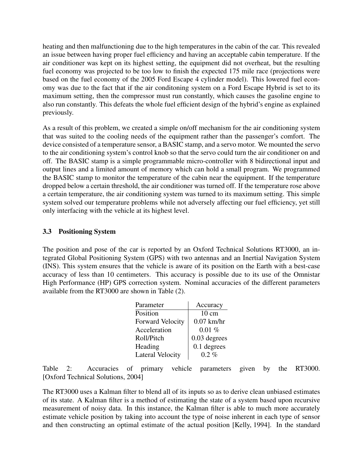heating and then malfunctioning due to the high temperatures in the cabin of the car. This revealed an issue between having proper fuel efficiency and having an acceptable cabin temperature. If the air conditioner was kept on its highest setting, the equipment did not overheat, but the resulting fuel economy was projected to be too low to finish the expected 175 mile race (projections were based on the fuel economy of the 2005 Ford Escape 4 cylinder model). This lowered fuel economy was due to the fact that if the air conditoning system on a Ford Escape Hybrid is set to its maximum setting, then the compressor must run constantly, which causes the gasoline engine to also run constantly. This defeats the whole fuel efficient design of the hybrid's engine as explained previously.

As a result of this problem, we created a simple on/off mechanism for the air conditioning system that was suited to the cooling needs of the equipment rather than the passenger's comfort. The device consisted of a temperature sensor, a BASIC stamp, and a servo motor. We mounted the servo to the air conditioning system's control knob so that the servo could turn the air conditioner on and off. The BASIC stamp is a simple programmable micro-controller with 8 bidirectional input and output lines and a limited amount of memory which can hold a small program. We programmed the BASIC stamp to monitor the temperature of the cabin near the equipment. If the temperature dropped below a certain threshold, the air conditioner was turned off. If the temperature rose above a certain temperature, the air conditioning system was turned to its maximum setting. This simple system solved our temperature problems while not adversely affecting our fuel efficiency, yet still only interfacing with the vehicle at its highest level.

#### 3.3 Positioning System

The position and pose of the car is reported by an Oxford Technical Solutions RT3000, an integrated Global Positioning System (GPS) with two antennas and an Inertial Navigation System (INS). This system ensures that the vehicle is aware of its position on the Earth with a best-case accuracy of less than 10 centimeters. This accuracy is possible due to its use of the Omnistar High Performance (HP) GPS correction system. Nominal accuracies of the different parameters available from the RT3000 are shown in Table (2).

| Parameter               | Accuracy        |
|-------------------------|-----------------|
| Position                | $10 \text{ cm}$ |
| <b>Forward Velocity</b> | $0.07$ km/hr    |
| Acceleration            | 0.01%           |
| Roll/Pitch              | 0.03 degrees    |
| Heading                 | $0.1$ degrees   |
| <b>Lateral Velocity</b> | $0.2 \%$        |

Table 2: Accuracies of primary vehicle parameters given by the RT3000. [Oxford Technical Solutions, 2004]

The RT3000 uses a Kalman filter to blend all of its inputs so as to derive clean unbiased estimates of its state. A Kalman filter is a method of estimating the state of a system based upon recursive measurement of noisy data. In this instance, the Kalman filter is able to much more accurately estimate vehicle position by taking into account the type of noise inherent in each type of sensor and then constructing an optimal estimate of the actual position [Kelly, 1994]. In the standard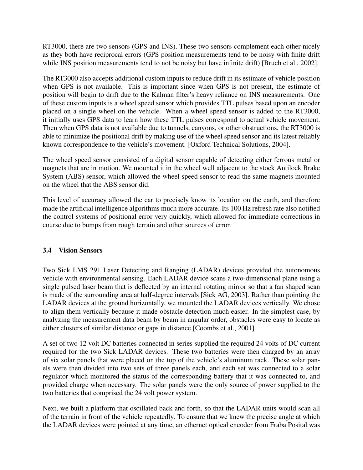RT3000, there are two sensors (GPS and INS). These two sensors complement each other nicely as they both have reciprocal errors (GPS position measurements tend to be noisy with finite drift while INS position measurements tend to not be noisy but have infinite drift) [Bruch et al., 2002].

The RT3000 also accepts additional custom inputs to reduce drift in its estimate of vehicle position when GPS is not available. This is important since when GPS is not present, the estimate of position will begin to drift due to the Kalman filter's heavy reliance on INS measurements. One of these custom inputs is a wheel speed sensor which provides TTL pulses based upon an encoder placed on a single wheel on the vehicle. When a wheel speed sensor is added to the RT3000, it initially uses GPS data to learn how these TTL pulses correspond to actual vehicle movement. Then when GPS data is not available due to tunnels, canyons, or other obstructions, the RT3000 is able to minimize the positional drift by making use of the wheel speed sensor and its latest reliably known correspondence to the vehicle's movement. [Oxford Technical Solutions, 2004].

The wheel speed sensor consisted of a digital sensor capable of detecting either ferrous metal or magnets that are in motion. We mounted it in the wheel well adjacent to the stock Antilock Brake System (ABS) sensor, which allowed the wheel speed sensor to read the same magnets mounted on the wheel that the ABS sensor did.

This level of accuracy allowed the car to precisely know its location on the earth, and therefore made the artificial intelligence algorithms much more accurate. Its 100 Hz refresh rate also notified the control systems of positional error very quickly, which allowed for immediate corrections in course due to bumps from rough terrain and other sources of error.

## 3.4 Vision Sensors

Two Sick LMS 291 Laser Detecting and Ranging (LADAR) devices provided the autonomous vehicle with environmental sensing. Each LADAR device scans a two-dimensional plane using a single pulsed laser beam that is deflected by an internal rotating mirror so that a fan shaped scan is made of the surrounding area at half-degree intervals [Sick AG, 2003]. Rather than pointing the LADAR devices at the ground horizontally, we mounted the LADAR devices vertically. We chose to align them vertically because it made obstacle detection much easier. In the simplest case, by analyzing the measurement data beam by beam in angular order, obstacles were easy to locate as either clusters of similar distance or gaps in distance [Coombs et al., 2001].

A set of two 12 volt DC batteries connected in series supplied the required 24 volts of DC current required for the two Sick LADAR devices. These two batteries were then charged by an array of six solar panels that were placed on the top of the vehicle's aluminum rack. These solar panels were then divided into two sets of three panels each, and each set was connected to a solar regulator which monitored the status of the corresponding battery that it was connected to, and provided charge when necessary. The solar panels were the only source of power supplied to the two batteries that comprised the 24 volt power system.

Next, we built a platform that oscillated back and forth, so that the LADAR units would scan all of the terrain in front of the vehicle repeatedly. To ensure that we knew the precise angle at which the LADAR devices were pointed at any time, an ethernet optical encoder from Fraba Posital was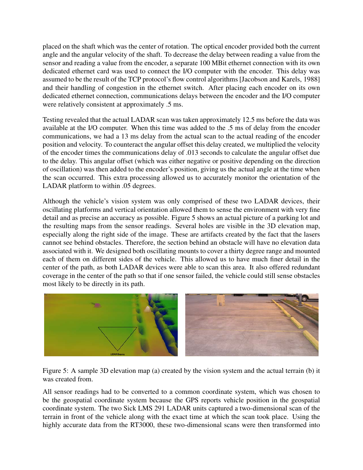placed on the shaft which was the center of rotation. The optical encoder provided both the current angle and the angular velocity of the shaft. To decrease the delay between reading a value from the sensor and reading a value from the encoder, a separate 100 MBit ethernet connection with its own dedicated ethernet card was used to connect the I/O computer with the encoder. This delay was assumed to be the result of the TCP protocol's flow control algorithms [Jacobson and Karels, 1988] and their handling of congestion in the ethernet switch. After placing each encoder on its own dedicated ethernet connection, communications delays between the encoder and the I/O computer were relatively consistent at approximately .5 ms.

Testing revealed that the actual LADAR scan was taken approximately 12.5 ms before the data was available at the I/O computer. When this time was added to the .5 ms of delay from the encoder communications, we had a 13 ms delay from the actual scan to the actual reading of the encoder position and velocity. To counteract the angular offset this delay created, we multiplied the velocity of the encoder times the communications delay of .013 seconds to calculate the angular offset due to the delay. This angular offset (which was either negative or positive depending on the direction of oscillation) was then added to the encoder's position, giving us the actual angle at the time when the scan occurred. This extra processing allowed us to accurately monitor the orientation of the LADAR platform to within .05 degrees.

Although the vehicle's vision system was only comprised of these two LADAR devices, their oscillating platforms and vertical orientation allowed them to sense the environment with very fine detail and as precise an accuracy as possible. Figure 5 shows an actual picture of a parking lot and the resulting maps from the sensor readings. Several holes are visible in the 3D elevation map, especially along the right side of the image. These are artifacts created by the fact that the lasers cannot see behind obstacles. Therefore, the section behind an obstacle will have no elevation data associated with it. We designed both oscillating mounts to cover a thirty degree range and mounted each of them on different sides of the vehicle. This allowed us to have much finer detail in the center of the path, as both LADAR devices were able to scan this area. It also offered redundant coverage in the center of the path so that if one sensor failed, the vehicle could still sense obstacles most likely to be directly in its path.



Figure 5: A sample 3D elevation map (a) created by the vision system and the actual terrain (b) it was created from.

All sensor readings had to be converted to a common coordinate system, which was chosen to be the geospatial coordinate system because the GPS reports vehicle position in the geospatial coordinate system. The two Sick LMS 291 LADAR units captured a two-dimensional scan of the terrain in front of the vehicle along with the exact time at which the scan took place. Using the highly accurate data from the RT3000, these two-dimensional scans were then transformed into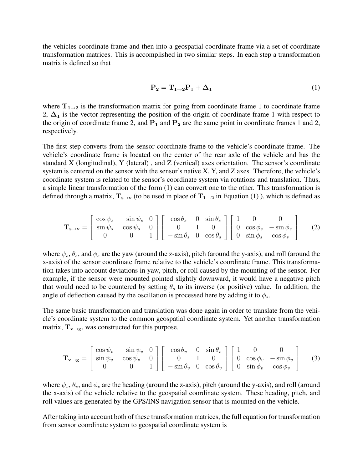the vehicles coordinate frame and then into a geospatial coordinate frame via a set of coordinate transformation matrices. This is accomplished in two similar steps. In each step a transformation matrix is defined so that

$$
\mathbf{P}_2 = \mathbf{T}_{1\rightarrow 2}\mathbf{P}_1 + \Delta_1\tag{1}
$$

where  $T_{1\rightarrow 2}$  is the transformation matrix for going from coordinate frame 1 to coordinate frame 2,  $\Delta_1$  is the vector representing the position of the origin of coordinate frame 1 with respect to the origin of coordinate frame 2, and  $P_1$  and  $P_2$  are the same point in coordinate frames 1 and 2, respectively.

The first step converts from the sensor coordinate frame to the vehicle's coordinate frame. The vehicle's coordinate frame is located on the center of the rear axle of the vehicle and has the standard X (longitudinal), Y (lateral) , and Z (vertical) axes orientation. The sensor's coordinate system is centered on the sensor with the sensor's native X, Y, and Z axes. Therefore, the vehicle's coordinate system is related to the sensor's coordinate system via rotations and translation. Thus, a simple linear transformation of the form (1) can convert one to the other. This transformation is defined through a matrix,  $T_{s\to v}$  (to be used in place of  $T_{1\to 2}$  in Equation (1)), which is defined as

$$
\mathbf{T}_{\mathbf{s}\to\mathbf{v}} = \begin{bmatrix} \cos\psi_s & -\sin\psi_s & 0\\ \sin\psi_s & \cos\psi_s & 0\\ 0 & 0 & 1 \end{bmatrix} \begin{bmatrix} \cos\theta_s & 0 & \sin\theta_s\\ 0 & 1 & 0\\ -\sin\theta_s & 0 & \cos\theta_s \end{bmatrix} \begin{bmatrix} 1 & 0 & 0\\ 0 & \cos\phi_s & -\sin\phi_s\\ 0 & \sin\phi_s & \cos\phi_s \end{bmatrix}
$$
 (2)

where  $\psi_s$ ,  $\theta_s$ , and  $\phi_s$  are the yaw (around the z-axis), pitch (around the y-axis), and roll (around the x-axis) of the sensor coordinate frame relative to the vehicle's coordinate frame. This transformation takes into account deviations in yaw, pitch, or roll caused by the mounting of the sensor. For example, if the sensor were mounted pointed slightly downward, it would have a negative pitch that would need to be countered by setting  $\theta_s$  to its inverse (or positive) value. In addition, the angle of deflection caused by the oscillation is processed here by adding it to  $\phi_s$ .

The same basic transformation and translation was done again in order to translate from the vehicle's coordinate system to the common geospatial coordinate system. Yet another transformation matrix,  $T_{v\rightarrow g}$ , was constructed for this purpose.

$$
\mathbf{T}_{\mathbf{v}\to\mathbf{g}} = \begin{bmatrix} \cos\psi_v & -\sin\psi_v & 0\\ \sin\psi_v & \cos\psi_v & 0\\ 0 & 0 & 1 \end{bmatrix} \begin{bmatrix} \cos\theta_v & 0 & \sin\theta_v\\ 0 & 1 & 0\\ -\sin\theta_v & 0 & \cos\theta_v \end{bmatrix} \begin{bmatrix} 1 & 0 & 0\\ 0 & \cos\phi_v & -\sin\phi_v\\ 0 & \sin\phi_v & \cos\phi_v \end{bmatrix}
$$
(3)

where  $\psi_v$ ,  $\theta_v$ , and  $\phi_v$  are the heading (around the z-axis), pitch (around the y-axis), and roll (around the x-axis) of the vehicle relative to the geospatial coordinate system. These heading, pitch, and roll values are generated by the GPS/INS navigation sensor that is mounted on the vehicle.

After taking into account both of these transformation matrices, the full equation for transformation from sensor coordinate system to geospatial coordinate system is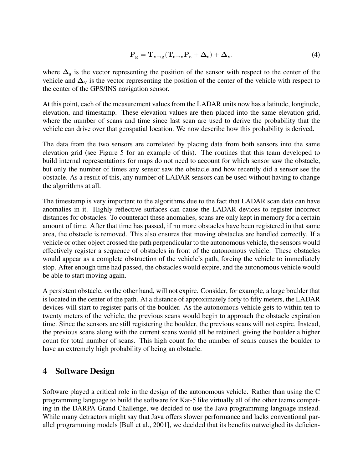$$
\mathbf{P_g} = \mathbf{T}_{\mathbf{v} \to \mathbf{g}} (\mathbf{T}_{\mathbf{s} \to \mathbf{v}} \mathbf{P}_\mathbf{s} + \Delta_\mathbf{s}) + \Delta_\mathbf{v}.
$$
 (4)

where  $\Delta_s$  is the vector representing the position of the sensor with respect to the center of the vehicle and  $\Delta_{\rm v}$  is the vector representing the position of the center of the vehicle with respect to the center of the GPS/INS navigation sensor.

At this point, each of the measurement values from the LADAR units now has a latitude, longitude, elevation, and timestamp. These elevation values are then placed into the same elevation grid, where the number of scans and time since last scan are used to derive the probability that the vehicle can drive over that geospatial location. We now describe how this probability is derived.

The data from the two sensors are correlated by placing data from both sensors into the same elevation grid (see Figure 5 for an example of this). The routines that this team developed to build internal representations for maps do not need to account for which sensor saw the obstacle, but only the number of times any sensor saw the obstacle and how recently did a sensor see the obstacle. As a result of this, any number of LADAR sensors can be used without having to change the algorithms at all.

The timestamp is very important to the algorithms due to the fact that LADAR scan data can have anomalies in it. Highly reflective surfaces can cause the LADAR devices to register incorrect distances for obstacles. To counteract these anomalies, scans are only kept in memory for a certain amount of time. After that time has passed, if no more obstacles have been registered in that same area, the obstacle is removed. This also ensures that moving obstacles are handled correctly. If a vehicle or other object crossed the path perpendicular to the autonomous vehicle, the sensors would effectively register a sequence of obstacles in front of the autonomous vehicle. These obstacles would appear as a complete obstruction of the vehicle's path, forcing the vehicle to immediately stop. After enough time had passed, the obstacles would expire, and the autonomous vehicle would be able to start moving again.

A persistent obstacle, on the other hand, will not expire. Consider, for example, a large boulder that is located in the center of the path. At a distance of approximately forty to fifty meters, the LADAR devices will start to register parts of the boulder. As the autonomous vehicle gets to within ten to twenty meters of the vehicle, the previous scans would begin to approach the obstacle expiration time. Since the sensors are still registering the boulder, the previous scans will not expire. Instead, the previous scans along with the current scans would all be retained, giving the boulder a higher count for total number of scans. This high count for the number of scans causes the boulder to have an extremely high probability of being an obstacle.

## 4 Software Design

Software played a critical role in the design of the autonomous vehicle. Rather than using the C programming language to build the software for Kat-5 like virtually all of the other teams competing in the DARPA Grand Challenge, we decided to use the Java programming language instead. While many detractors might say that Java offers slower performance and lacks conventional parallel programming models [Bull et al., 2001], we decided that its benefits outweighed its deficien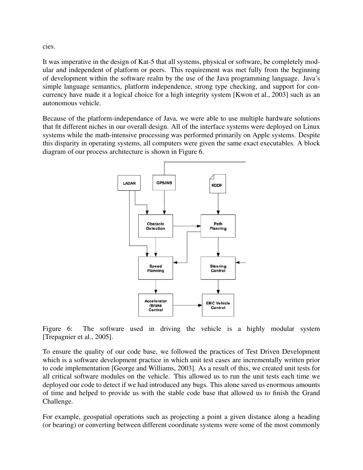cies.

It was imperative in the design of Kat-5 that all systems, physical or software, be completely modular and independent of platform or peers. This requirement was met fully from the beginning of development within the software realm by the use of the Java programming language. Java's simple language semantics, platform independence, strong type checking, and support for concurrency have made it a logical choice for a high integrity system [Kwon et al., 2003] such as an autonomous vehicle.

Because of the platform-independance of Java, we were able to use multiple hardware solutions that fit different niches in our overall design. All of the interface systems were deployed on Linux systems while the math-intensive processing was performed primarily on Apple systems. Despite this disparity in operating systems, all computers were given the same exact executables. A block diagram of our process architecture is shown in Figure 6.



Figure 6: The software used in driving the vehicle is a highly modular system [Trepagnier et al., 2005].

To ensure the quality of our code base, we followed the practices of Test Driven Development which is a software development practice in which unit test cases are incrementally written prior to code implementation [George and Williams, 2003]. As a result of this, we created unit tests for all critical software modules on the vehicle. This allowed us to run the unit tests each time we deployed our code to detect if we had introduced any bugs. This alone saved us enormous amounts of time and helped to provide us with the stable code base that allowed us to finish the Grand Challenge.

For example, geospatial operations such as projecting a point a given distance along a heading (or bearing) or converting between different coordinate systems were some of the most commonly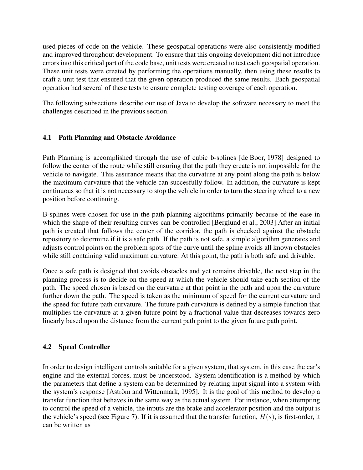used pieces of code on the vehicle. These geospatial operations were also consistently modified and improved throughout development. To ensure that this ongoing development did not introduce errors into this critical part of the code base, unit tests were created to test each geospatial operation. These unit tests were created by performing the operations manually, then using these results to craft a unit test that ensured that the given operation produced the same results. Each geospatial operation had several of these tests to ensure complete testing coverage of each operation.

The following subsections describe our use of Java to develop the software necessary to meet the challenges described in the previous section.

## 4.1 Path Planning and Obstacle Avoidance

Path Planning is accomplished through the use of cubic b-splines [de Boor, 1978] designed to follow the center of the route while still ensuring that the path they create is not impossible for the vehicle to navigate. This assurance means that the curvature at any point along the path is below the maximum curvature that the vehicle can succesfully follow. In addition, the curvature is kept continuous so that it is not necessary to stop the vehicle in order to turn the steering wheel to a new position before continuing.

B-splines were chosen for use in the path planning algorithms primarily because of the ease in which the shape of their resulting curves can be controlled [Berglund et al., 2003]. After an initial path is created that follows the center of the corridor, the path is checked against the obstacle repository to determine if it is a safe path. If the path is not safe, a simple algorithm generates and adjusts control points on the problem spots of the curve until the spline avoids all known obstacles while still containing valid maximum curvature. At this point, the path is both safe and drivable.

Once a safe path is designed that avoids obstacles and yet remains drivable, the next step in the planning process is to decide on the speed at which the vehicle should take each section of the path. The speed chosen is based on the curvature at that point in the path and upon the curvature further down the path. The speed is taken as the minimum of speed for the current curvature and the speed for future path curvature. The future path curvature is defined by a simple function that multiplies the curvature at a given future point by a fractional value that decreases towards zero linearly based upon the distance from the current path point to the given future path point.

## 4.2 Speed Controller

In order to design intelligent controls suitable for a given system, that system, in this case the car's engine and the external forces, must be understood. System identification is a method by which the parameters that define a system can be determined by relating input signal into a system with the system's response [Aström and Wittenmark, 1995]. It is the goal of this method to develop a transfer function that behaves in the same way as the actual system. For instance, when attempting to control the speed of a vehicle, the inputs are the brake and accelerator position and the output is the vehicle's speed (see Figure 7). If it is assumed that the transfer function,  $H(s)$ , is first-order, it can be written as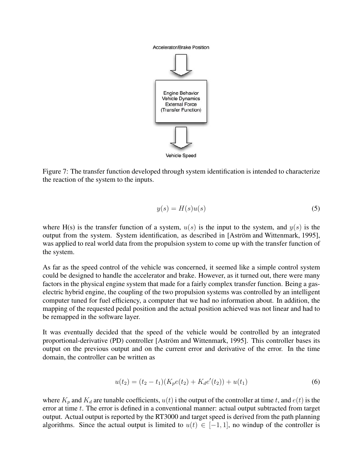**Accelerator/Brake Position** 



Figure 7: The transfer function developed through system identification is intended to characterize the reaction of the system to the inputs.

$$
y(s) = H(s)u(s)
$$
\n<sup>(5)</sup>

where H(s) is the transfer function of a system,  $u(s)$  is the input to the system, and  $y(s)$  is the output from the system. System identification, as described in [Aström and Wittenmark, 1995], was applied to real world data from the propulsion system to come up with the transfer function of the system.

As far as the speed control of the vehicle was concerned, it seemed like a simple control system could be designed to handle the accelerator and brake. However, as it turned out, there were many factors in the physical engine system that made for a fairly complex transfer function. Being a gaselectric hybrid engine, the coupling of the two propulsion systems was controlled by an intelligent computer tuned for fuel efficiency, a computer that we had no information about. In addition, the mapping of the requested pedal position and the actual position achieved was not linear and had to be remapped in the software layer.

It was eventually decided that the speed of the vehicle would be controlled by an integrated proportional-derivative (PD) controller [Aström and Wittenmark, 1995]. This controller bases its output on the previous output and on the current error and derivative of the error. In the time domain, the controller can be written as

$$
u(t_2) = (t_2 - t_1)(K_p e(t_2) + K_d e'(t_2)) + u(t_1)
$$
\n<sup>(6)</sup>

where  $K_p$  and  $K_d$  are tunable coefficients,  $u(t)$  i the output of the controller at time t, and  $e(t)$  is the error at time t. The error is defined in a conventional manner: actual output subtracted from target output. Actual output is reported by the RT3000 and target speed is derived from the path planning algorithms. Since the actual output is limited to  $u(t) \in [-1, 1]$ , no windup of the controller is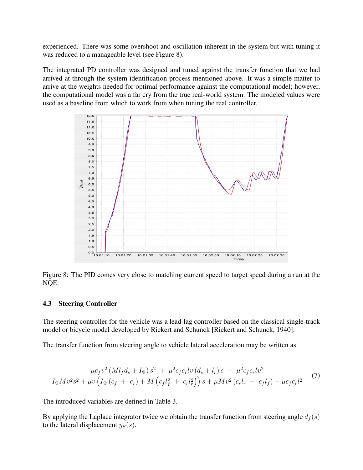experienced. There was some overshoot and oscillation inherent in the system but with tuning it was reduced to a manageable level (see Figure 8).

The integrated PD controller was designed and tuned against the transfer function that we had arrived at through the system identification process mentioned above. It was a simple matter to arrive at the weights needed for optimal performance against the computational model; however, the computational model was a far cry from the true real-world system. The modeled values were used as a baseline from which to work from when tuning the real controller.



Figure 8: The PID comes very close to matching current speed to target speed during a run at the NQE.

#### 4.3 Steering Controller

The steering controller for the vehicle was a lead-lag controller based on the classical single-track model or bicycle model developed by Riekert and Schunck [Riekert and Schunck, 1940].

The transfer function from steering angle to vehicle lateral acceleration may be written as

$$
\frac{\mu c_f v^2 \left(Ml_f d_s + I_{\Psi}\right) s^2 + \mu^2 c_f c_r l v \left(d_s + l_r\right) s + \mu^2 c_f c_r l v^2}{I_{\Psi} M v^2 s^2 + \mu v \left(I_{\Psi}\left(c_f + c_r\right) + M\left(c_f l_f^2 + c_r l_r^2\right)\right) s + \mu M v^2 \left(c_r l_r - c_f l_f\right) + \mu c_f c_r l^2} \tag{7}
$$

The introduced variables are defined in Table 3.

By applying the Laplace integrator twice we obtain the transfer function from steering angle  $d_f(s)$ to the lateral displacement  $y_S(s)$ .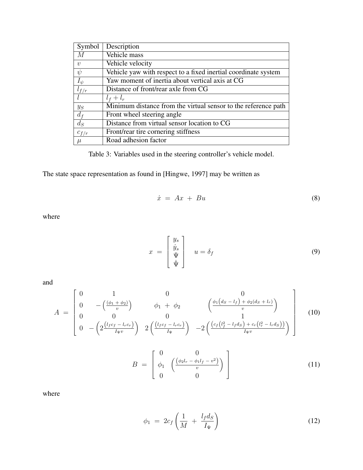| Symbol           | Description                                                    |
|------------------|----------------------------------------------------------------|
| М                | Vehicle mass                                                   |
| $\boldsymbol{v}$ | Vehicle velocity                                               |
| $\psi$           | Vehicle yaw with respect to a fixed inertial coordinate system |
| $I_{\psi}$       | Yaw moment of inertia about vertical axis at CG                |
| $l_{f/r}$        | Distance of front/rear axle from CG                            |
|                  | $l_f+l_r$                                                      |
| $y_S$            | Minimum distance from the virtual sensor to the reference path |
| $d_f$            | Front wheel steering angle                                     |
| $d_S$            | Distance from virtual sensor location to CG                    |
| $c_{f/r}$        | Front/rear tire cornering stiffness                            |
| $\mu$            | Road adhesion factor                                           |

The state space representation as found in [Hingwe, 1997] may be written as

$$
\dot{x} = Ax + Bu \tag{8}
$$

where

$$
x = \begin{bmatrix} y_s \\ \dot{y}_s \\ \dot{\Psi} \end{bmatrix} \quad u = \delta_f \tag{9}
$$

and

$$
A = \begin{bmatrix} 0 & 1 & 0 & 0 \\ 0 & -\left(\frac{(\phi_1 + \phi_2)}{v}\right) & \phi_1 + \phi_2 & \left(\frac{\phi_1(d_S - l_f) + \phi_2(d_S + l_r)}{v}\right) \\ 0 & 0 & 0 & 1 \\ 0 & -\left(2\frac{(l_f c_f - l_r c_r)}{I_{\Psi}v}\right) & 2\left(\frac{(l_f c_f - l_r c_r)}{I_{\Psi}}\right) & -2\left(\frac{(c_f (l_f^2 - l_f d_S) + c_r (l_r^2 - l_r d_S))}{I_{\Psi}v}\right) \end{bmatrix}
$$
(10)

$$
B = \begin{bmatrix} 0 & 0 \\ \phi_1 & \left(\frac{(\phi_2 l_r - \phi_1 l_f - v^2)}{v}\right) \\ 0 & 0 \end{bmatrix}
$$
(11)

where

$$
\phi_1 = 2c_f \left( \frac{1}{M} + \frac{l_f d_S}{I_{\Psi}} \right) \tag{12}
$$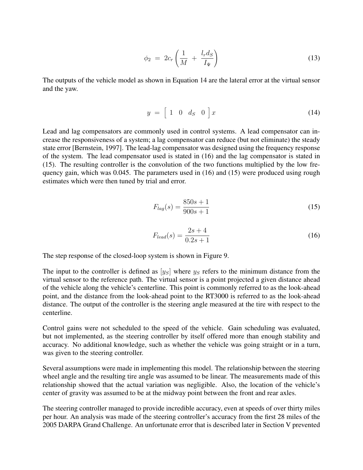$$
\phi_2 = 2c_r \left( \frac{1}{M} + \frac{l_r d_S}{I_{\Psi}} \right) \tag{13}
$$

The outputs of the vehicle model as shown in Equation 14 are the lateral error at the virtual sensor and the yaw.

$$
y = \left[ \begin{array}{ccc} 1 & 0 & d_S & 0 \end{array} \right] x \tag{14}
$$

Lead and lag compensators are commonly used in control systems. A lead compensator can increase the responsiveness of a system; a lag compensator can reduce (but not eliminate) the steady state error [Bernstein, 1997]. The lead-lag compensator was designed using the frequency response of the system. The lead compensator used is stated in (16) and the lag compensator is stated in (15). The resulting controller is the convolution of the two functions multiplied by the low frequency gain, which was 0.045. The parameters used in (16) and (15) were produced using rough estimates which were then tuned by trial and error.

$$
F_{lag}(s) = \frac{850s + 1}{900s + 1} \tag{15}
$$

$$
F_{lead}(s) = \frac{2s + 4}{0.2s + 1} \tag{16}
$$

The step response of the closed-loop system is shown in Figure 9.

The input to the controller is defined as  $[y_S]$  where  $y_S$  refers to the minimum distance from the virtual sensor to the reference path. The virtual sensor is a point projected a given distance ahead of the vehicle along the vehicle's centerline. This point is commonly referred to as the look-ahead point, and the distance from the look-ahead point to the RT3000 is referred to as the look-ahead distance. The output of the controller is the steering angle measured at the tire with respect to the centerline.

Control gains were not scheduled to the speed of the vehicle. Gain scheduling was evaluated, but not implemented, as the steering controller by itself offered more than enough stability and accuracy. No additional knowledge, such as whether the vehicle was going straight or in a turn, was given to the steering controller.

Several assumptions were made in implementing this model. The relationship between the steering wheel angle and the resulting tire angle was assumed to be linear. The measurements made of this relationship showed that the actual variation was negligible. Also, the location of the vehicle's center of gravity was assumed to be at the midway point between the front and rear axles.

The steering controller managed to provide incredible accuracy, even at speeds of over thirty miles per hour. An analysis was made of the steering controller's accuracy from the first 28 miles of the 2005 DARPA Grand Challenge. An unfortunate error that is described later in Section V prevented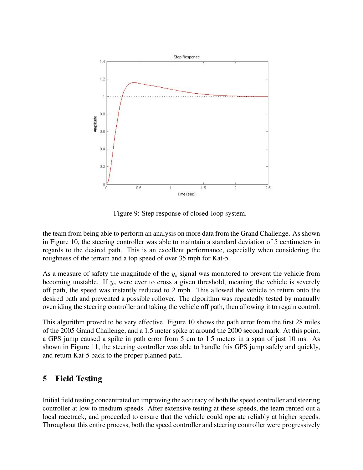

Figure 9: Step response of closed-loop system.

the team from being able to perform an analysis on more data from the Grand Challenge. As shown in Figure 10, the steering controller was able to maintain a standard deviation of 5 centimeters in regards to the desired path. This is an excellent performance, especially when considering the roughness of the terrain and a top speed of over 35 mph for Kat-5.

As a measure of safety the magnitude of the  $y_s$  signal was monitored to prevent the vehicle from becoming unstable. If  $y_s$  were ever to cross a given threshold, meaning the vehicle is severely off path, the speed was instantly reduced to 2 mph. This allowed the vehicle to return onto the desired path and prevented a possible rollover. The algorithm was repeatedly tested by manually overriding the steering controller and taking the vehicle off path, then allowing it to regain control.

This algorithm proved to be very effective. Figure 10 shows the path error from the first 28 miles of the 2005 Grand Challenge, and a 1.5 meter spike at around the 2000 second mark. At this point, a GPS jump caused a spike in path error from 5 cm to 1.5 meters in a span of just 10 ms. As shown in Figure 11, the steering controller was able to handle this GPS jump safely and quickly, and return Kat-5 back to the proper planned path.

# 5 Field Testing

Initial field testing concentrated on improving the accuracy of both the speed controller and steering controller at low to medium speeds. After extensive testing at these speeds, the team rented out a local racetrack, and proceeded to ensure that the vehicle could operate reliably at higher speeds. Throughout this entire process, both the speed controller and steering controller were progressively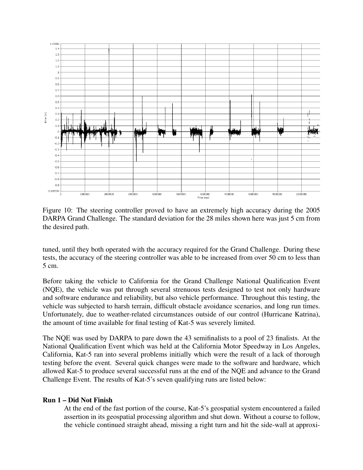

Figure 10: The steering controller proved to have an extremely high accuracy during the 2005 DARPA Grand Challenge. The standard deviation for the 28 miles shown here was just 5 cm from the desired path.

tuned, until they both operated with the accuracy required for the Grand Challenge. During these tests, the accuracy of the steering controller was able to be increased from over 50 cm to less than 5 cm.

Before taking the vehicle to California for the Grand Challenge National Qualification Event (NQE), the vehicle was put through several strenuous tests designed to test not only hardware and software endurance and reliability, but also vehicle performance. Throughout this testing, the vehicle was subjected to harsh terrain, difficult obstacle avoidance scenarios, and long run times. Unfortunately, due to weather-related circumstances outside of our control (Hurricane Katrina), the amount of time available for final testing of Kat-5 was severely limited.

The NQE was used by DARPA to pare down the 43 semifinalists to a pool of 23 finalists. At the National Qualification Event which was held at the California Motor Speedway in Los Angeles, California, Kat-5 ran into several problems initially which were the result of a lack of thorough testing before the event. Several quick changes were made to the software and hardware, which allowed Kat-5 to produce several successful runs at the end of the NQE and advance to the Grand Challenge Event. The results of Kat-5's seven qualifying runs are listed below:

#### Run 1 – Did Not Finish

At the end of the fast portion of the course, Kat-5's geospatial system encountered a failed assertion in its geospatial processing algorithm and shut down. Without a course to follow, the vehicle continued straight ahead, missing a right turn and hit the side-wall at approxi-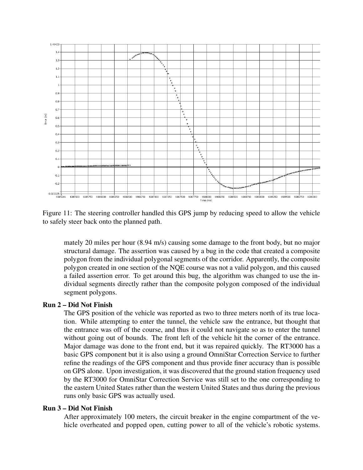

Figure 11: The steering controller handled this GPS jump by reducing speed to allow the vehicle to safely steer back onto the planned path.

mately 20 miles per hour (8.94 m/s) causing some damage to the front body, but no major structural damage. The assertion was caused by a bug in the code that created a composite polygon from the individual polygonal segments of the corridor. Apparently, the composite polygon created in one section of the NQE course was not a valid polygon, and this caused a failed assertion error. To get around this bug, the algorithm was changed to use the individual segments directly rather than the composite polygon composed of the individual segment polygons.

#### Run 2 – Did Not Finish

The GPS position of the vehicle was reported as two to three meters north of its true location. While attempting to enter the tunnel, the vehicle saw the entrance, but thought that the entrance was off of the course, and thus it could not navigate so as to enter the tunnel without going out of bounds. The front left of the vehicle hit the corner of the entrance. Major damage was done to the front end, but it was repaired quickly. The RT3000 has a basic GPS component but it is also using a ground OmniStar Correction Service to further refine the readings of the GPS component and thus provide finer accuracy than is possible on GPS alone. Upon investigation, it was discovered that the ground station frequency used by the RT3000 for OmniStar Correction Service was still set to the one corresponding to the eastern United States rather than the western United States and thus during the previous runs only basic GPS was actually used.

#### Run 3 – Did Not Finish

After approximately 100 meters, the circuit breaker in the engine compartment of the vehicle overheated and popped open, cutting power to all of the vehicle's robotic systems.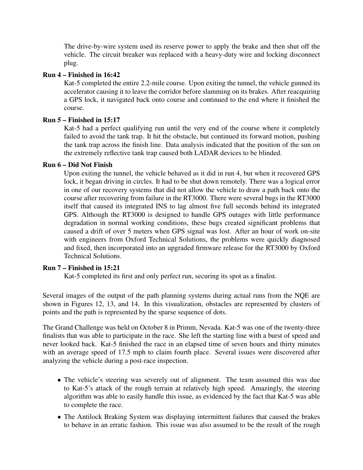The drive-by-wire system used its reserve power to apply the brake and then shut off the vehicle. The circuit breaker was replaced with a heavy-duty wire and locking disconnect plug.

#### Run 4 – Finished in 16:42

Kat-5 completed the entire 2.2-mile course. Upon exiting the tunnel, the vehicle gunned its accelerator causing it to leave the corridor before slamming on its brakes. After reacquiring a GPS lock, it navigated back onto course and continued to the end where it finished the course.

#### Run 5 – Finished in 15:17

Kat-5 had a perfect qualifying run until the very end of the course where it completely failed to avoid the tank trap. It hit the obstacle, but continued its forward motion, pushing the tank trap across the finish line. Data analysis indicated that the position of the sun on the extremely reflective tank trap caused both LADAR devices to be blinded.

#### Run 6 – Did Not Finish

Upon exiting the tunnel, the vehicle behaved as it did in run 4, but when it recovered GPS lock, it began driving in circles. It had to be shut down remotely. There was a logical error in one of our recovery systems that did not allow the vehicle to draw a path back onto the course after recovering from failure in the RT3000. There were several bugs in the RT3000 itself that caused its integrated INS to lag almost five full seconds behind its integrated GPS. Although the RT3000 is designed to handle GPS outages with little performance degradation in normal working conditions, these bugs created significant problems that caused a drift of over 5 meters when GPS signal was lost. After an hour of work on-site with engineers from Oxford Technical Solutions, the problems were quickly diagnosed and fixed, then incorporated into an upgraded firmware release for the RT3000 by Oxford Technical Solutions.

## Run 7 – Finished in 15:21

Kat-5 completed its first and only perfect run, securing its spot as a finalist.

Several images of the output of the path planning systems during actual runs from the NQE are shown in Figures 12, 13, and 14. In this visualization, obstacles are represented by clusters of points and the path is represented by the sparse sequence of dots.

The Grand Challenge was held on October 8 in Primm, Nevada. Kat-5 was one of the twenty-three finalists that was able to participate in the race. She left the starting line with a burst of speed and never looked back. Kat-5 finished the race in an elapsed time of seven hours and thirty minutes with an average speed of 17.5 mph to claim fourth place. Several issues were discovered after analyzing the vehicle during a post-race inspection.

- The vehicle's steering was severely out of alignment. The team assumed this was due to Kat-5's attack of the rough terrain at relatively high speed. Amazingly, the steering algorithm was able to easily handle this issue, as evidenced by the fact that Kat-5 was able to complete the race.
- The Antilock Braking System was displaying intermittent failures that caused the brakes to behave in an erratic fashion. This issue was also assumed to be the result of the rough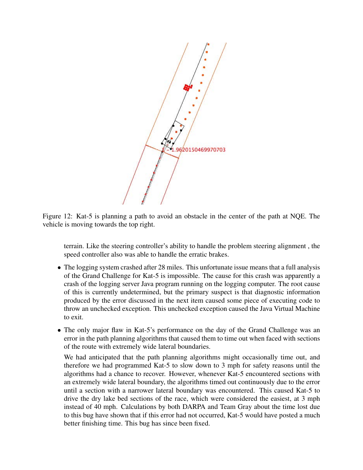

Figure 12: Kat-5 is planning a path to avoid an obstacle in the center of the path at NQE. The vehicle is moving towards the top right.

terrain. Like the steering controller's ability to handle the problem steering alignment , the speed controller also was able to handle the erratic brakes.

- The logging system crashed after 28 miles. This unfortunate issue means that a full analysis of the Grand Challenge for Kat-5 is impossible. The cause for this crash was apparently a crash of the logging server Java program running on the logging computer. The root cause of this is currently undetermined, but the primary suspect is that diagnostic information produced by the error discussed in the next item caused some piece of executing code to throw an unchecked exception. This unchecked exception caused the Java Virtual Machine to exit.
- The only major flaw in Kat-5's performance on the day of the Grand Challenge was an error in the path planning algorithms that caused them to time out when faced with sections of the route with extremely wide lateral boundaries.

We had anticipated that the path planning algorithms might occasionally time out, and therefore we had programmed Kat-5 to slow down to 3 mph for safety reasons until the algorithms had a chance to recover. However, whenever Kat-5 encountered sections with an extremely wide lateral boundary, the algorithms timed out continuously due to the error until a section with a narrower lateral boundary was encountered. This caused Kat-5 to drive the dry lake bed sections of the race, which were considered the easiest, at 3 mph instead of 40 mph. Calculations by both DARPA and Team Gray about the time lost due to this bug have shown that if this error had not occurred, Kat-5 would have posted a much better finishing time. This bug has since been fixed.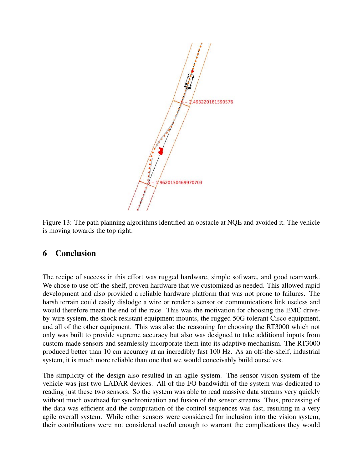

Figure 13: The path planning algorithms identified an obstacle at NQE and avoided it. The vehicle is moving towards the top right.

## 6 Conclusion

The recipe of success in this effort was rugged hardware, simple software, and good teamwork. We chose to use off-the-shelf, proven hardware that we customized as needed. This allowed rapid development and also provided a reliable hardware platform that was not prone to failures. The harsh terrain could easily dislodge a wire or render a sensor or communications link useless and would therefore mean the end of the race. This was the motivation for choosing the EMC driveby-wire system, the shock resistant equipment mounts, the rugged 50G tolerant Cisco equipment, and all of the other equipment. This was also the reasoning for choosing the RT3000 which not only was built to provide supreme accuracy but also was designed to take additional inputs from custom-made sensors and seamlessly incorporate them into its adaptive mechanism. The RT3000 produced better than 10 cm accuracy at an incredibly fast 100 Hz. As an off-the-shelf, industrial system, it is much more reliable than one that we would conceivably build ourselves.

The simplicity of the design also resulted in an agile system. The sensor vision system of the vehicle was just two LADAR devices. All of the I/O bandwidth of the system was dedicated to reading just these two sensors. So the system was able to read massive data streams very quickly without much overhead for synchronization and fusion of the sensor streams. Thus, processing of the data was efficient and the computation of the control sequences was fast, resulting in a very agile overall system. While other sensors were considered for inclusion into the vision system, their contributions were not considered useful enough to warrant the complications they would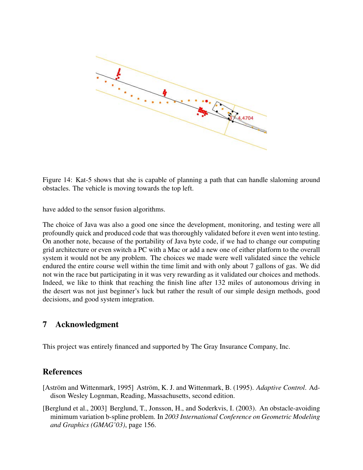

Figure 14: Kat-5 shows that she is capable of planning a path that can handle slaloming around obstacles. The vehicle is moving towards the top left.

have added to the sensor fusion algorithms.

The choice of Java was also a good one since the development, monitoring, and testing were all profoundly quick and produced code that was thoroughly validated before it even went into testing. On another note, because of the portability of Java byte code, if we had to change our computing grid architecture or even switch a PC with a Mac or add a new one of either platform to the overall system it would not be any problem. The choices we made were well validated since the vehicle endured the entire course well within the time limit and with only about 7 gallons of gas. We did not win the race but participating in it was very rewarding as it validated our choices and methods. Indeed, we like to think that reaching the finish line after 132 miles of autonomous driving in the desert was not just beginner's luck but rather the result of our simple design methods, good decisions, and good system integration.

# 7 Acknowledgment

This project was entirely financed and supported by The Gray Insurance Company, Inc.

# References

- [Aström and Wittenmark, 1995] Aström, K. J. and Wittenmark, B. (1995). *Adaptive Control.* Addison Wesley Lognman, Reading, Massachusetts, second edition.
- [Berglund et al., 2003] Berglund, T., Jonsson, H., and Soderkvis, I. (2003). An obstacle-avoiding minimum variation b-spline problem. In *2003 International Conference on Geometric Modeling and Graphics (GMAG'03)*, page 156.